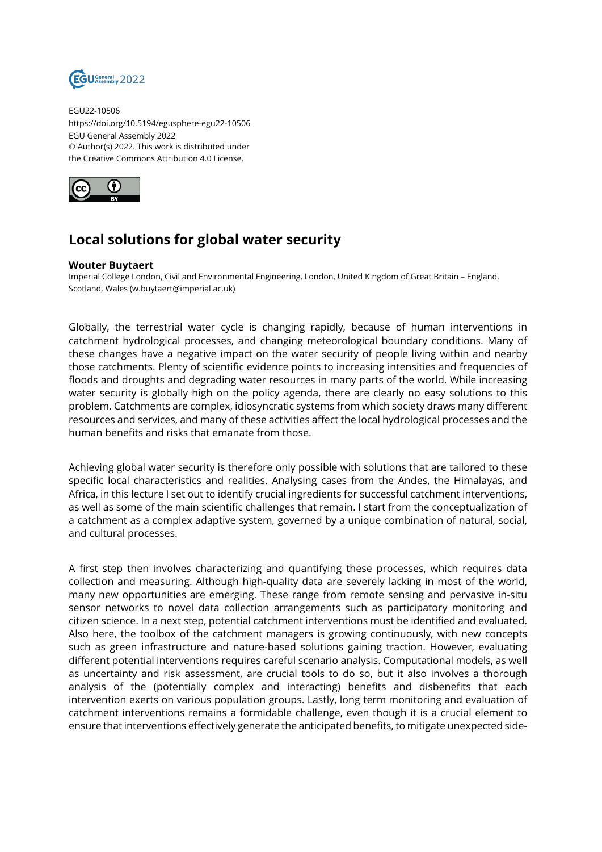

EGU22-10506 https://doi.org/10.5194/egusphere-egu22-10506 EGU General Assembly 2022 © Author(s) 2022. This work is distributed under the Creative Commons Attribution 4.0 License.



## **Local solutions for global water security**

## **Wouter Buytaert**

Imperial College London, Civil and Environmental Engineering, London, United Kingdom of Great Britain – England, Scotland, Wales (w.buytaert@imperial.ac.uk)

Globally, the terrestrial water cycle is changing rapidly, because of human interventions in catchment hydrological processes, and changing meteorological boundary conditions. Many of these changes have a negative impact on the water security of people living within and nearby those catchments. Plenty of scientific evidence points to increasing intensities and frequencies of floods and droughts and degrading water resources in many parts of the world. While increasing water security is globally high on the policy agenda, there are clearly no easy solutions to this problem. Catchments are complex, idiosyncratic systems from which society draws many different resources and services, and many of these activities affect the local hydrological processes and the human benefits and risks that emanate from those.

Achieving global water security is therefore only possible with solutions that are tailored to these specific local characteristics and realities. Analysing cases from the Andes, the Himalayas, and Africa, in this lecture I set out to identify crucial ingredients for successful catchment interventions, as well as some of the main scientific challenges that remain. I start from the conceptualization of a catchment as a complex adaptive system, governed by a unique combination of natural, social, and cultural processes.

A first step then involves characterizing and quantifying these processes, which requires data collection and measuring. Although high-quality data are severely lacking in most of the world, many new opportunities are emerging. These range from remote sensing and pervasive in-situ sensor networks to novel data collection arrangements such as participatory monitoring and citizen science. In a next step, potential catchment interventions must be identified and evaluated. Also here, the toolbox of the catchment managers is growing continuously, with new concepts such as green infrastructure and nature-based solutions gaining traction. However, evaluating different potential interventions requires careful scenario analysis. Computational models, as well as uncertainty and risk assessment, are crucial tools to do so, but it also involves a thorough analysis of the (potentially complex and interacting) benefits and disbenefits that each intervention exerts on various population groups. Lastly, long term monitoring and evaluation of catchment interventions remains a formidable challenge, even though it is a crucial element to ensure that interventions effectively generate the anticipated benefits, to mitigate unexpected side